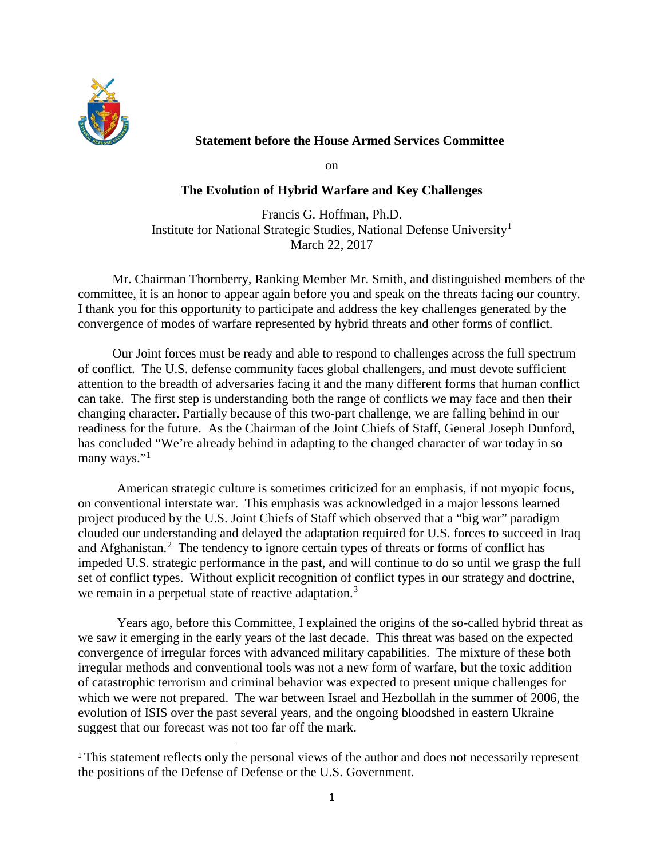

 $\overline{a}$ 

# **Statement before the House Armed Services Committee**

on

### **The Evolution of Hybrid Warfare and Key Challenges**

Francis G. Hoffman, Ph.D. Institute for National Strategic Studies, National Defense University[1](#page-0-0) March 22, 2017

Mr. Chairman Thornberry, Ranking Member Mr. Smith, and distinguished members of the committee, it is an honor to appear again before you and speak on the threats facing our country. I thank you for this opportunity to participate and address the key challenges generated by the convergence of modes of warfare represented by hybrid threats and other forms of conflict.

Our Joint forces must be ready and able to respond to challenges across the full spectrum of conflict. The U.S. defense community faces global challengers, and must devote sufficient attention to the breadth of adversaries facing it and the many different forms that human conflict can take. The first step is understanding both the range of conflicts we may face and then their changing character. Partially because of this two-part challenge, we are falling behind in our readiness for the future. As the Chairman of the Joint Chiefs of Staff, General Joseph Dunford, has concluded "We're already behind in adapting to the changed character of war today in so many ways."<sup>[1](#page-3-0)</sup>

American strategic culture is sometimes criticized for an emphasis, if not myopic focus, on conventional interstate war. This emphasis was acknowledged in a major lessons learned project produced by the U.S. Joint Chiefs of Staff which observed that a "big war" paradigm clouded our understanding and delayed the adaptation required for U.S. forces to succeed in Iraq and Afghanistan.<sup>[2](#page-3-1)</sup> The tendency to ignore certain types of threats or forms of conflict has impeded U.S. strategic performance in the past, and will continue to do so until we grasp the full set of conflict types. Without explicit recognition of conflict types in our strategy and doctrine, we remain in a perpetual state of reactive adaptation.<sup>[3](#page-3-2)</sup>

Years ago, before this Committee, I explained the origins of the so-called hybrid threat as we saw it emerging in the early years of the last decade. This threat was based on the expected convergence of irregular forces with advanced military capabilities. The mixture of these both irregular methods and conventional tools was not a new form of warfare, but the toxic addition of catastrophic terrorism and criminal behavior was expected to present unique challenges for which we were not prepared. The war between Israel and Hezbollah in the summer of 2006, the evolution of ISIS over the past several years, and the ongoing bloodshed in eastern Ukraine suggest that our forecast was not too far off the mark.

<span id="page-0-0"></span><sup>&</sup>lt;sup>1</sup> This statement reflects only the personal views of the author and does not necessarily represent the positions of the Defense of Defense or the U.S. Government.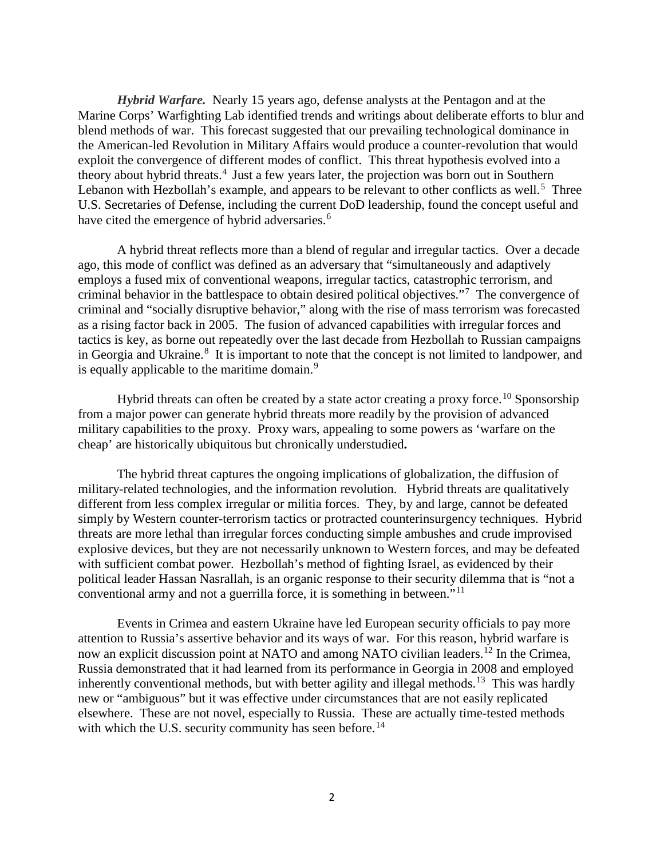*Hybrid Warfare.* Nearly 15 years ago, defense analysts at the Pentagon and at the Marine Corps' Warfighting Lab identified trends and writings about deliberate efforts to blur and blend methods of war. This forecast suggested that our prevailing technological dominance in the American-led Revolution in Military Affairs would produce a counter-revolution that would exploit the convergence of different modes of conflict. This threat hypothesis evolved into a theory about hybrid threats.<sup>[4](#page-4-0)</sup> Just a few years later, the projection was born out in Southern Lebanon with Hezbollah's example, and appears to be relevant to other conflicts as well.<sup>[5](#page-4-1)</sup> Three U.S. Secretaries of Defense, including the current DoD leadership, found the concept useful and have cited the emergence of hybrid adversaries.<sup>[6](#page-4-2)</sup>

A hybrid threat reflects more than a blend of regular and irregular tactics. Over a decade ago, this mode of conflict was defined as an adversary that "simultaneously and adaptively employs a fused mix of conventional weapons, irregular tactics, catastrophic terrorism, and criminal behavior in the battlespace to obtain desired political objectives."[7](#page-4-3) The convergence of criminal and "socially disruptive behavior," along with the rise of mass terrorism was forecasted as a rising factor back in 2005. The fusion of advanced capabilities with irregular forces and tactics is key, as borne out repeatedly over the last decade from Hezbollah to Russian campaigns in Georgia and Ukraine.<sup>[8](#page-4-4)</sup> It is important to note that the concept is not limited to landpower, and is equally applicable to the maritime domain.<sup>[9](#page-4-5)</sup>

Hybrid threats can often be created by a state actor creating a proxy force.<sup>[10](#page-4-6)</sup> Sponsorship from a major power can generate hybrid threats more readily by the provision of advanced military capabilities to the proxy. Proxy wars, appealing to some powers as 'warfare on the cheap' are historically ubiquitous but chronically understudied**.**

The hybrid threat captures the ongoing implications of globalization, the diffusion of military-related technologies, and the information revolution. Hybrid threats are qualitatively different from less complex irregular or militia forces. They, by and large, cannot be defeated simply by Western counter-terrorism tactics or protracted counterinsurgency techniques. Hybrid threats are more lethal than irregular forces conducting simple ambushes and crude improvised explosive devices, but they are not necessarily unknown to Western forces, and may be defeated with sufficient combat power. Hezbollah's method of fighting Israel, as evidenced by their political leader Hassan Nasrallah, is an organic response to their security dilemma that is "not a conventional army and not a guerrilla force, it is something in between."[11](#page-4-7)

Events in Crimea and eastern Ukraine have led European security officials to pay more attention to Russia's assertive behavior and its ways of war. For this reason, hybrid warfare is now an explicit discussion point at NATO and among NATO civilian leaders. [12](#page-4-8) In the Crimea, Russia demonstrated that it had learned from its performance in Georgia in 2008 and employed inherently conventional methods, but with better agility and illegal methods.<sup>13</sup> This was hardly new or "ambiguous" but it was effective under circumstances that are not easily replicated elsewhere. These are not novel, especially to Russia. These are actually time-tested methods with which the U.S. security community has seen before.<sup>14</sup>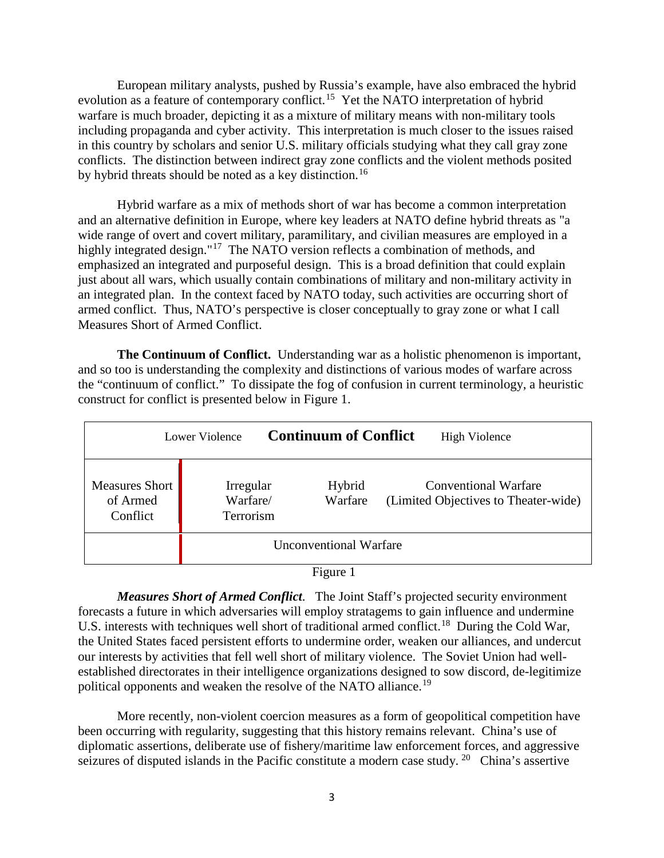European military analysts, pushed by Russia's example, have also embraced the hybrid evolution as a feature of contemporary conflict.<sup>15</sup> Yet the NATO interpretation of hybrid warfare is much broader, depicting it as a mixture of military means with non-military tools including propaganda and cyber activity. This interpretation is much closer to the issues raised in this country by scholars and senior U.S. military officials studying what they call gray zone conflicts. The distinction between indirect gray zone conflicts and the violent methods posited by hybrid threats should be noted as a key distinction.<sup>[16](#page-5-1)</sup>

Hybrid warfare as a mix of methods short of war has become a common interpretation and an alternative definition in Europe, where key leaders at NATO define hybrid threats as "a wide range of overt and covert military, paramilitary, and civilian measures are employed in a highly integrated design."<sup>17</sup> The NATO version reflects a combination of methods, and emphasized an integrated and purposeful design. This is a broad definition that could explain just about all wars, which usually contain combinations of military and non-military activity in an integrated plan. In the context faced by NATO today, such activities are occurring short of armed conflict. Thus, NATO's perspective is closer conceptually to gray zone or what I call Measures Short of Armed Conflict.

**The Continuum of Conflict.** Understanding war as a holistic phenomenon is important, and so too is understanding the complexity and distinctions of various modes of warfare across the "continuum of conflict." To dissipate the fog of confusion in current terminology, a heuristic construct for conflict is presented below in Figure 1.

|                                               | Lower Violence                     |  | <b>Continuum of Conflict</b> |                                                                     | <b>High Violence</b> |
|-----------------------------------------------|------------------------------------|--|------------------------------|---------------------------------------------------------------------|----------------------|
| <b>Measures Short</b><br>of Armed<br>Conflict | Irregular<br>Warfare/<br>Terrorism |  | Hybrid<br>Warfare            | <b>Conventional Warfare</b><br>(Limited Objectives to Theater-wide) |                      |
| <b>Unconventional Warfare</b>                 |                                    |  |                              |                                                                     |                      |
| $\Gamma$ icure 1                              |                                    |  |                              |                                                                     |                      |

Figure 1

*Measures Short of Armed Conflict*. The Joint Staff's projected security environment forecasts a future in which adversaries will employ stratagems to gain influence and undermine U.S. interests with techniques well short of traditional armed conflict.<sup>[18](#page-5-3)</sup> During the Cold War, the United States faced persistent efforts to undermine order, weaken our alliances, and undercut our interests by activities that fell well short of military violence. The Soviet Union had wellestablished directorates in their intelligence organizations designed to sow discord, de-legitimize political opponents and weaken the resolve of the NATO alliance.<sup>19</sup>

More recently, non-violent coercion measures as a form of geopolitical competition have been occurring with regularity, suggesting that this history remains relevant. China's use of diplomatic assertions, deliberate use of fishery/maritime law enforcement forces, and aggressive seizures of disputed islands in the Pacific constitute a modern case study. <sup>[20](#page-5-5)</sup> China's assertive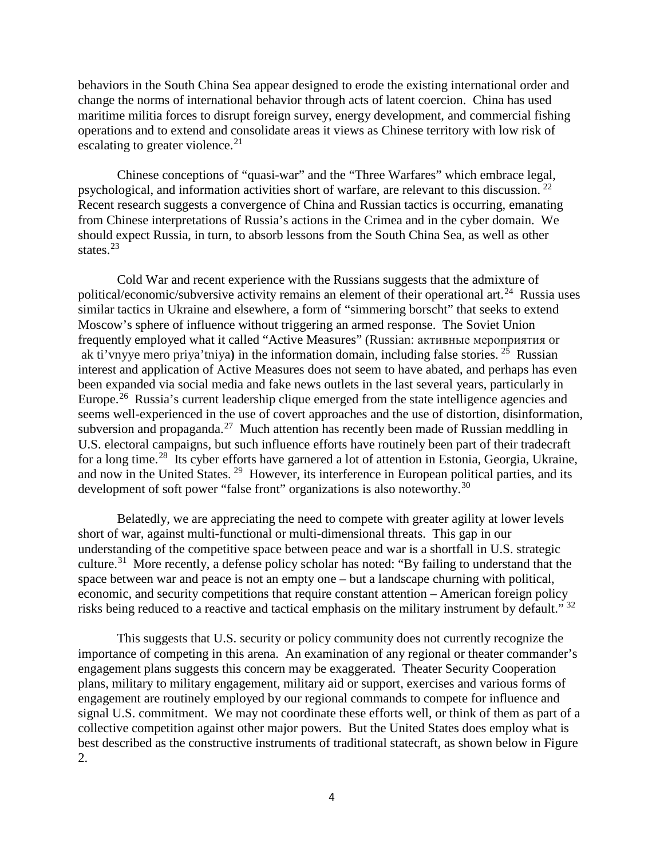behaviors in the South China Sea appear designed to erode the existing international order and change the norms of international behavior through acts of latent coercion. China has used maritime militia forces to disrupt foreign survey, energy development, and commercial fishing operations and to extend and consolidate areas it views as Chinese territory with low risk of escalating to greater violence.<sup>[21](#page-6-0)</sup>

Chinese conceptions of "quasi-war" and the "Three Warfares" which embrace legal, psychological, and information activities short of warfare, are relevant to this discussion. [22](#page-6-1) Recent research suggests a convergence of China and Russian tactics is occurring, emanating from Chinese interpretations of Russia's actions in the Crimea and in the cyber domain. We should expect Russia, in turn, to absorb lessons from the South China Sea, as well as other states.<sup>[23](#page-6-2)</sup>

Cold War and recent experience with the Russians suggests that the admixture of political/economic/subversive activity remains an element of their operational art.<sup>[24](#page-6-3)</sup> Russia uses similar tactics in Ukraine and elsewhere, a form of "simmering borscht" that seeks to extend Moscow's sphere of influence without triggering an armed response. The Soviet Union frequently employed what it called "Active Measures" (Russian: активные мероприятия or ak ti'vnyye mero priya'tniya**)** in the information domain, including false stories. [25](#page-6-4) Russian interest and application of Active Measures does not seem to have abated, and perhaps has even been expanded via social media and fake news outlets in the last several years, particularly in Europe.<sup>[26](#page-6-5)</sup> Russia's current leadership clique emerged from the state intelligence agencies and seems well-experienced in the use of covert approaches and the use of distortion, disinformation, subversion and propaganda.<sup>[27](#page-6-6)</sup> Much attention has recently been made of Russian meddling in U.S. electoral campaigns, but such influence efforts have routinely been part of their tradecraft for a long time.<sup>28</sup> Its cyber efforts have garnered a lot of attention in Estonia, Georgia, Ukraine, and now in the United States.<sup>[29](#page-6-8)</sup> However, its interference in European political parties, and its development of soft power "false front" organizations is also noteworthy.<sup>[30](#page-6-9)</sup>

<span id="page-3-0"></span>Belatedly, we are appreciating the need to compete with greater agility at lower levels short of war, against multi-functional or multi-dimensional threats. This gap in our understanding of the competitive space between peace and war is a shortfall in U.S. strategic culture.<sup>[31](#page-6-10)</sup> More recently, a defense policy scholar has noted: "By failing to understand that the space between war and peace is not an empty one – but a landscape churning with political, economic, and security competitions that require constant attention – American foreign policy risks being reduced to a reactive and tactical emphasis on the military instrument by default." [32](#page-6-11)

<span id="page-3-2"></span><span id="page-3-1"></span>This suggests that U.S. security or policy community does not currently recognize the importance of competing in this arena. An examination of any regional or theater commander's engagement plans suggests this concern may be exaggerated. Theater Security Cooperation plans, military to military engagement, military aid or support, exercises and various forms of engagement are routinely employed by our regional commands to compete for influence and signal U.S. commitment. We may not coordinate these efforts well, or think of them as part of a collective competition against other major powers. But the United States does employ what is best described as the constructive instruments of traditional statecraft, as shown below in Figure 2.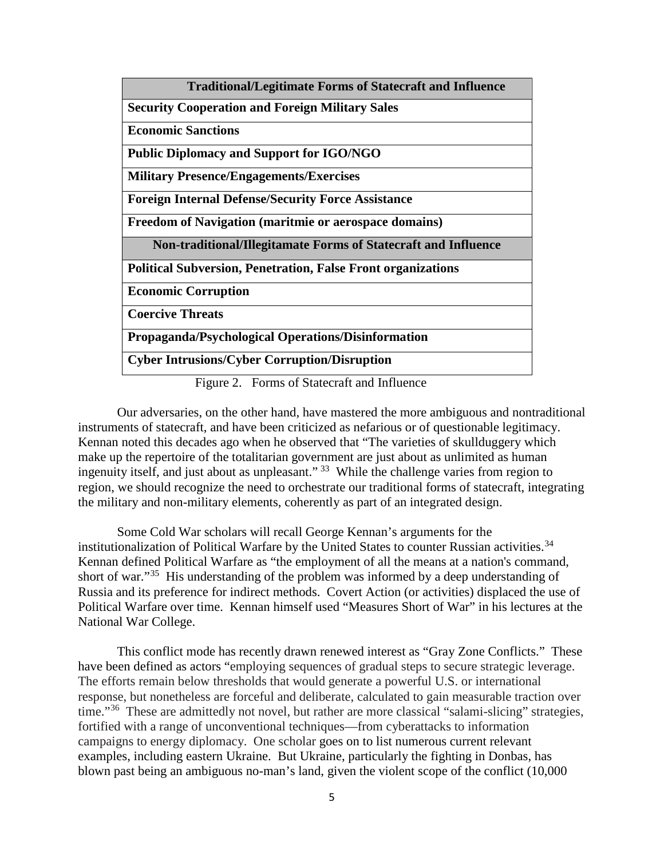<span id="page-4-4"></span><span id="page-4-3"></span><span id="page-4-2"></span><span id="page-4-1"></span>

| <b>Traditional/Legitimate Forms of Statecraft and Influence</b>     |
|---------------------------------------------------------------------|
| <b>Security Cooperation and Foreign Military Sales</b>              |
| <b>Economic Sanctions</b>                                           |
| <b>Public Diplomacy and Support for IGO/NGO</b>                     |
| <b>Military Presence/Engagements/Exercises</b>                      |
| <b>Foreign Internal Defense/Security Force Assistance</b>           |
| <b>Freedom of Navigation (maritmie or aerospace domains)</b>        |
| Non-traditional/Illegitamate Forms of Statecraft and Influence      |
| <b>Political Subversion, Penetration, False Front organizations</b> |
| <b>Economic Corruption</b>                                          |
| <b>Coercive Threats</b>                                             |
| Propaganda/Psychological Operations/Disinformation                  |
| <b>Cyber Intrusions/Cyber Corruption/Disruption</b>                 |

Figure 2. Forms of Statecraft and Influence

<span id="page-4-10"></span><span id="page-4-9"></span><span id="page-4-8"></span><span id="page-4-7"></span><span id="page-4-6"></span><span id="page-4-5"></span>Our adversaries, on the other hand, have mastered the more ambiguous and nontraditional instruments of statecraft, and have been criticized as nefarious or of questionable legitimacy. Kennan noted this decades ago when he observed that "The varieties of skullduggery which make up the repertoire of the totalitarian government are just about as unlimited as human ingenuity itself, and just about as unpleasant." [33](#page-7-0) While the challenge varies from region to region, we should recognize the need to orchestrate our traditional forms of statecraft, integrating the military and non-military elements, coherently as part of an integrated design.

Some Cold War scholars will recall George Kennan's arguments for the institutionalization of Political Warfare by the United States to counter Russian activities.<sup>34</sup> Kennan defined Political Warfare as "the employment of all the means at a nation's command, short of war."[35](#page-7-2) His understanding of the problem was informed by a deep understanding of Russia and its preference for indirect methods. Covert Action (or activities) displaced the use of Political Warfare over time. Kennan himself used "Measures Short of War" in his lectures at the National War College.

<span id="page-4-0"></span>This conflict mode has recently drawn renewed interest as "Gray Zone Conflicts." These have been defined as actors "employing sequences of gradual steps to secure strategic leverage. The efforts remain below thresholds that would generate a powerful U.S. or international response, but nonetheless are forceful and deliberate, calculated to gain measurable traction over time."<sup>[36](#page-7-3)</sup> These are admittedly not novel, but rather are more classical "salami-slicing" strategies, fortified with a range of unconventional techniques—from cyberattacks to information campaigns to energy diplomacy. One scholar goes on to list numerous current relevant examples, including eastern Ukraine. But Ukraine, particularly the fighting in Donbas, has blown past being an ambiguous no-man's land, given the violent scope of the conflict (10,000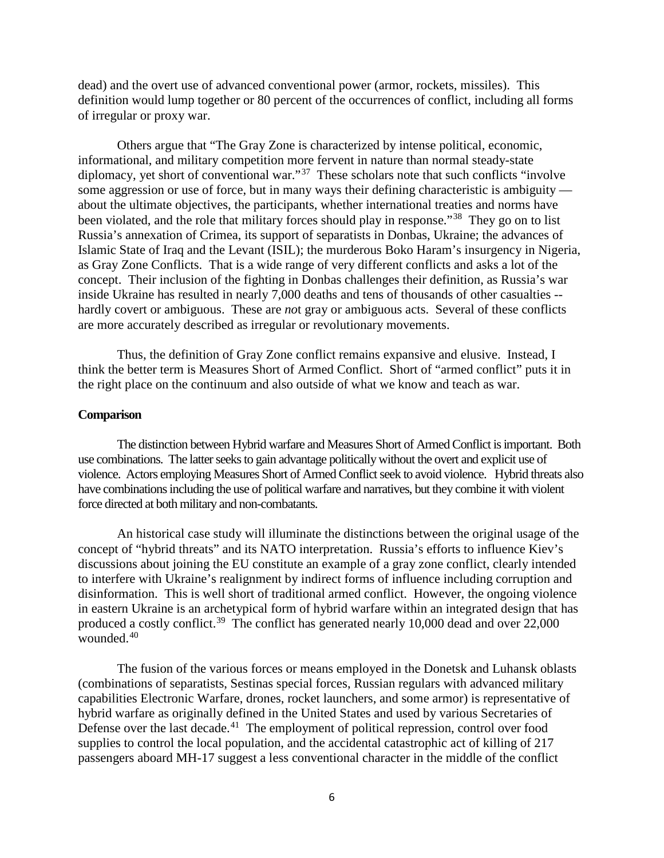dead) and the overt use of advanced conventional power (armor, rockets, missiles). This definition would lump together or 80 percent of the occurrences of conflict, including all forms of irregular or proxy war.

Others argue that "The Gray Zone is characterized by intense political, economic, informational, and military competition more fervent in nature than normal steady-state diplomacy, yet short of conventional war."<sup>[37](#page-8-0)</sup> These scholars note that such conflicts "involve" some aggression or use of force, but in many ways their defining characteristic is ambiguity about the ultimate objectives, the participants, whether international treaties and norms have been violated, and the role that military forces should play in response."<sup>[38](#page-8-1)</sup> They go on to list Russia's annexation of Crimea, its support of separatists in Donbas, Ukraine; the advances of Islamic State of Iraq and the Levant (ISIL); the murderous Boko Haram's insurgency in Nigeria, as Gray Zone Conflicts. That is a wide range of very different conflicts and asks a lot of the concept. Their inclusion of the fighting in Donbas challenges their definition, as Russia's war inside Ukraine has resulted in nearly 7,000 deaths and tens of thousands of other casualties - hardly covert or ambiguous. These are *no*t gray or ambiguous acts. Several of these conflicts are more accurately described as irregular or revolutionary movements.

Thus, the definition of Gray Zone conflict remains expansive and elusive. Instead, I think the better term is Measures Short of Armed Conflict. Short of "armed conflict" puts it in the right place on the continuum and also outside of what we know and teach as war.

#### **Comparison**

<span id="page-5-0"></span>The distinction between Hybrid warfare and Measures Short of Armed Conflict is important. Both use combinations. The latter seeks to gain advantage politically without the overt and explicit use of violence. Actors employing Measures Short of Armed Conflict seek to avoid violence. Hybrid threats also have combinations including the use of political warfare and narratives, but they combine it with violent force directed at both military and non-combatants.

<span id="page-5-4"></span><span id="page-5-3"></span><span id="page-5-2"></span><span id="page-5-1"></span>An historical case study will illuminate the distinctions between the original usage of the concept of "hybrid threats" and its NATO interpretation. Russia's efforts to influence Kiev's discussions about joining the EU constitute an example of a gray zone conflict, clearly intended to interfere with Ukraine's realignment by indirect forms of influence including corruption and disinformation. This is well short of traditional armed conflict. However, the ongoing violence in eastern Ukraine is an archetypical form of hybrid warfare within an integrated design that has produced a costly conflict.<sup>39</sup> The conflict has generated nearly 10,000 dead and over 22,000 wounded.[40](#page-8-3)

<span id="page-5-5"></span>The fusion of the various forces or means employed in the Donetsk and Luhansk oblasts (combinations of separatists, Sestinas special forces, Russian regulars with advanced military capabilities Electronic Warfare, drones, rocket launchers, and some armor) is representative of hybrid warfare as originally defined in the United States and used by various Secretaries of Defense over the last decade.<sup>41</sup> The employment of political repression, control over food supplies to control the local population, and the accidental catastrophic act of killing of 217 passengers aboard MH-17 suggest a less conventional character in the middle of the conflict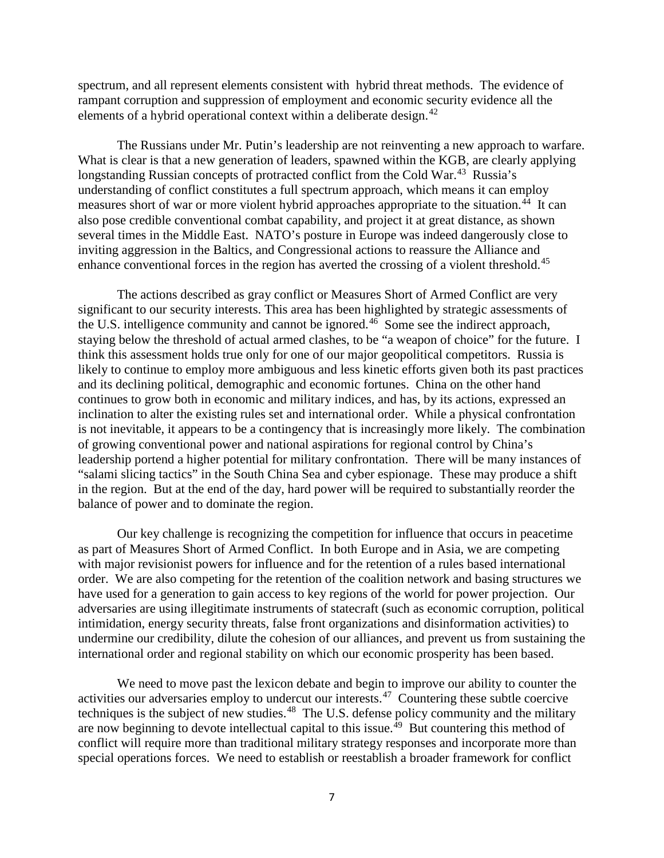spectrum, and all represent elements consistent with hybrid threat methods. The evidence of rampant corruption and suppression of employment and economic security evidence all the elements of a hybrid operational context within a deliberate design.<sup>[42](#page-9-0)</sup>

<span id="page-6-3"></span><span id="page-6-2"></span>The Russians under Mr. Putin's leadership are not reinventing a new approach to warfare. What is clear is that a new generation of leaders, spawned within the KGB, are clearly applying longstanding Russian concepts of protracted conflict from the Cold War.<sup>43</sup> Russia's understanding of conflict constitutes a full spectrum approach, which means it can employ measures short of war or more violent hybrid approaches appropriate to the situation. [44](#page-9-2)It can also pose credible conventional combat capability, and project it at great distance, as shown several times in the Middle East. NATO's posture in Europe was indeed dangerously close to inviting aggression in the Baltics, and Congressional actions to reassure the Alliance and enhance conventional forces in the region has averted the crossing of a violent threshold.<sup>[45](#page-9-3)</sup>

<span id="page-6-7"></span><span id="page-6-6"></span><span id="page-6-5"></span><span id="page-6-4"></span>The actions described as gray conflict or Measures Short of Armed Conflict are very significant to our security interests. This area has been highlighted by strategic assessments of the U.S. intelligence community and cannot be ignored.<sup>46</sup> Some see the indirect approach, staying below the threshold of actual armed clashes, to be "a weapon of choice" for the future. I think this assessment holds true only for one of our major geopolitical competitors. Russia is likely to continue to employ more ambiguous and less kinetic efforts given both its past practices and its declining political, demographic and economic fortunes. China on the other hand continues to grow both in economic and military indices, and has, by its actions, expressed an inclination to alter the existing rules set and international order. While a physical confrontation is not inevitable, it appears to be a contingency that is increasingly more likely. The combination of growing conventional power and national aspirations for regional control by China's leadership portend a higher potential for military confrontation. There will be many instances of "salami slicing tactics" in the South China Sea and cyber espionage. These may produce a shift in the region. But at the end of the day, hard power will be required to substantially reorder the balance of power and to dominate the region.

<span id="page-6-11"></span><span id="page-6-10"></span><span id="page-6-9"></span><span id="page-6-8"></span>Our key challenge is recognizing the competition for influence that occurs in peacetime as part of Measures Short of Armed Conflict. In both Europe and in Asia, we are competing with major revisionist powers for influence and for the retention of a rules based international order. We are also competing for the retention of the coalition network and basing structures we have used for a generation to gain access to key regions of the world for power projection. Our adversaries are using illegitimate instruments of statecraft (such as economic corruption, political intimidation, energy security threats, false front organizations and disinformation activities) to undermine our credibility, dilute the cohesion of our alliances, and prevent us from sustaining the international order and regional stability on which our economic prosperity has been based.

<span id="page-6-1"></span><span id="page-6-0"></span>We need to move past the lexicon debate and begin to improve our ability to counter the activities our adversaries employ to undercut our interests.<sup>[47](#page-9-5)</sup> Countering these subtle coercive techniques is the subject of new studies.<sup>[48](#page-9-6)</sup> The U.S. defense policy community and the military are now beginning to devote intellectual capital to this issue.<sup> $49$ </sup> But countering this method of conflict will require more than traditional military strategy responses and incorporate more than special operations forces. We need to establish or reestablish a broader framework for conflict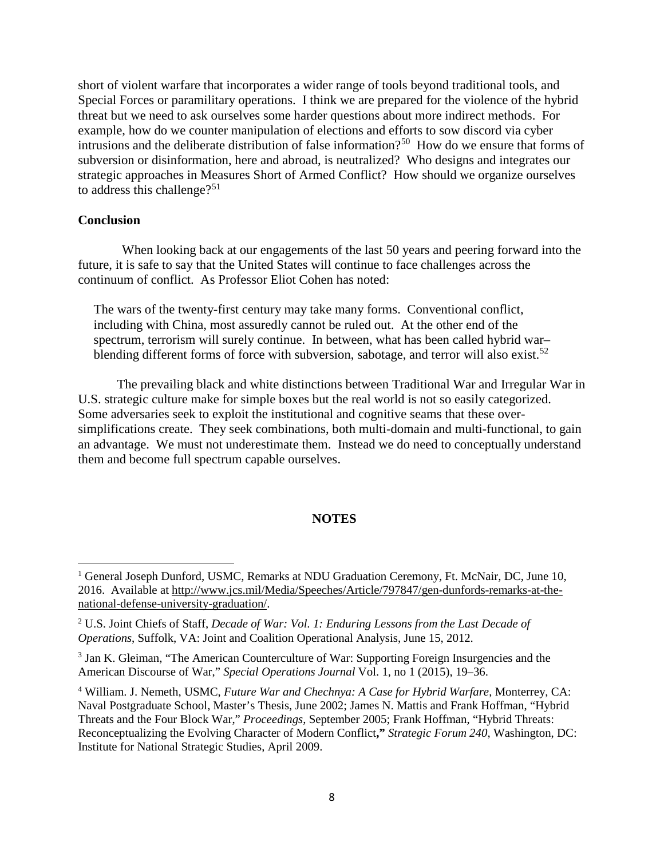short of violent warfare that incorporates a wider range of tools beyond traditional tools, and Special Forces or paramilitary operations. I think we are prepared for the violence of the hybrid threat but we need to ask ourselves some harder questions about more indirect methods. For example, how do we counter manipulation of elections and efforts to sow discord via cyber intrusions and the deliberate distribution of false information?<sup>[50](#page-10-0)</sup> How do we ensure that forms of subversion or disinformation, here and abroad, is neutralized? Who designs and integrates our strategic approaches in Measures Short of Armed Conflict? How should we organize ourselves to address this challenge?<sup>[51](#page-10-1)</sup>

### **Conclusion**

 $\overline{a}$ 

When looking back at our engagements of the last 50 years and peering forward into the future, it is safe to say that the United States will continue to face challenges across the continuum of conflict. As Professor Eliot Cohen has noted:

The wars of the twenty-first century may take many forms. Conventional conflict, including with China, most assuredly cannot be ruled out. At the other end of the spectrum, terrorism will surely continue. In between, what has been called hybrid war– blending different forms of force with subversion, sabotage, and terror will also exist.<sup>[52](#page-10-2)</sup>

The prevailing black and white distinctions between Traditional War and Irregular War in U.S. strategic culture make for simple boxes but the real world is not so easily categorized. Some adversaries seek to exploit the institutional and cognitive seams that these oversimplifications create. They seek combinations, both multi-domain and multi-functional, to gain an advantage. We must not underestimate them. Instead we do need to conceptually understand them and become full spectrum capable ourselves.

## **NOTES**

<span id="page-7-0"></span><sup>&</sup>lt;sup>1</sup> General Joseph Dunford, USMC, Remarks at NDU Graduation Ceremony, Ft. McNair, DC, June 10, 2016. Available at [http://www.jcs.mil/Media/Speeches/Article/797847/gen-dunfords-remarks-at-the](http://www.jcs.mil/Media/Speeches/Article/797847/gen-dunfords-remarks-at-the-national-defense-university-graduation/)[national-defense-university-graduation/.](http://www.jcs.mil/Media/Speeches/Article/797847/gen-dunfords-remarks-at-the-national-defense-university-graduation/)

<sup>2</sup> U.S. Joint Chiefs of Staff, *Decade of War: Vol. 1: Enduring Lessons from the Last Decade of Operations*, Suffolk, VA: Joint and Coalition Operational Analysis, June 15, 2012.

<span id="page-7-1"></span><sup>3</sup> Jan K. Gleiman, "The American Counterculture of War: Supporting Foreign Insurgencies and the American Discourse of War," *Special Operations Journal* Vol. 1, no 1 (2015), 19–36.

<span id="page-7-3"></span><span id="page-7-2"></span><sup>4</sup> William. J. Nemeth, USMC, *Future War and Chechnya: A Case for Hybrid Warfare*, Monterrey, CA: Naval Postgraduate School, Master's Thesis, June 2002; James N. Mattis and Frank Hoffman, "Hybrid Threats and the Four Block War," *Proceedings*, September 2005; Frank Hoffman, "Hybrid Threats: Reconceptualizing the Evolving Character of Modern Conflict**,"** *Strategic Forum 240*, Washington, DC: Institute for National Strategic Studies, April 2009.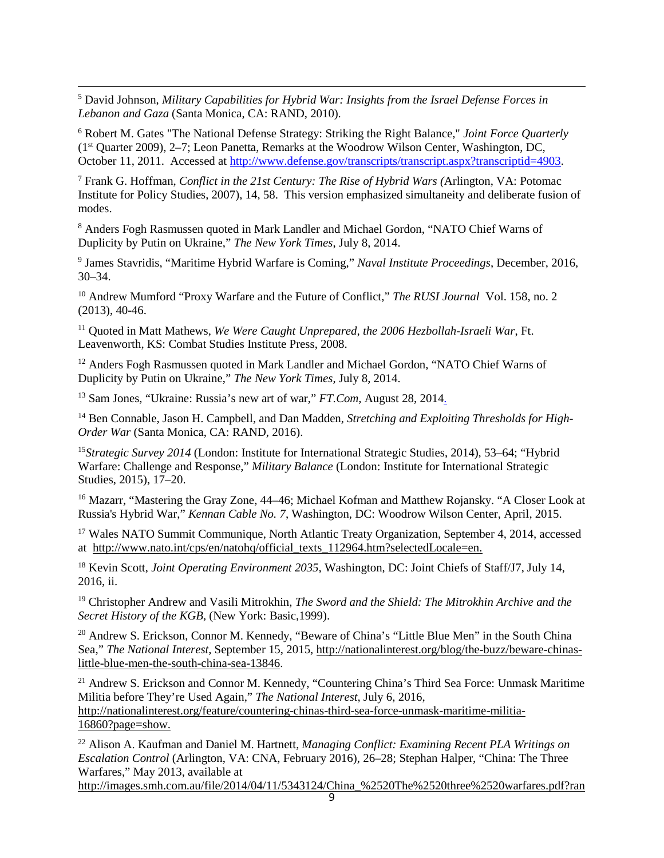<span id="page-8-1"></span> 5 David Johnson, *Military Capabilities for Hybrid War: Insights from the Israel Defense Forces in Lebanon and Gaza* (Santa Monica, CA: RAND, 2010).

<span id="page-8-2"></span><sup>6</sup> Robert M. Gates "The National Defense [Strategy:](http://www.cgsc.army.mil/carl/scripts/goodbye3_2.asp?url=http://www.ndu.edu/inss/Press/jfq_pages/editions/i52/1.pdf) Striking the Right Balance," *Joint Force Quarterly* (1st Quarter 2009), 2–7; Leon Panetta, Remarks at the Woodrow Wilson Center, Washington, DC, October 11, 2011. Accessed at [http://www.defense.gov/transcripts/transcript.aspx?transcriptid=4903.](http://www.defense.gov/transcripts/transcript.aspx?transcriptid=4903)

<span id="page-8-4"></span><span id="page-8-3"></span><sup>7</sup> Frank G. Hoffman, *Conflict in the 21st [Century:](http://www.cgsc.army.mil/carl/scripts/goodbye3_2.asp?url=http://www.potomacinstitute.org/publications/Potomac_HybridWar_0108.pdf) The Rise of Hybrid Wars (*Arlington, VA: Potomac Institute for Policy Studies, 2007), 14, 58. This version emphasized simultaneity and deliberate fusion of modes.

<sup>8</sup> Anders Fogh Rasmussen quoted in Mark Landler and Michael Gordon, "NATO Chief Warns of Duplicity by Putin on Ukraine," *The New York Times*, July 8, 2014.

<sup>9</sup> James Stavridis, "Maritime Hybrid Warfare is Coming," *Naval Institute Proceedings*, December, 2016, 30–34.

<sup>10</sup> [Andrew Mumford "](http://www.tandfonline.com/author/Mumford%2C+Andrew)Proxy Warfare and the Future of Conflict," *The RUSI Journal* Vol. 158, no. 2 (2013), 40-46.

<sup>11</sup> Quoted in Matt Mathews, *We Were Caught Unprepared, the 2006 Hezbollah-Israeli War*, Ft. Leavenworth, KS: Combat Studies Institute Press, 2008.

<sup>12</sup> Anders Fogh Rasmussen quoted in Mark Landler and Michael Gordon, "NATO Chief Warns of Duplicity by Putin on Ukraine," *The New York Times*, July 8, 2014.

<sup>13</sup> Sam Jones, "Ukraine: Russia's new art of war," *FT.Com*, August 28, 2014.

<sup>14</sup> Ben Connable, Jason H. Campbell, and Dan Madden, *Stretching and Exploiting Thresholds for High-Order War* (Santa Monica, CA: RAND, 2016).

<sup>15</sup>*Strategic Survey 2014* (London: Institute for International Strategic Studies, 2014), 53–64; "Hybrid Warfare: Challenge and Response," *Military Balance* (London: Institute for International Strategic Studies, 2015), 17–20.

<sup>16</sup> Mazarr, "Mastering the Gray Zone, 44–46; Michael Kofman and Matthew Rojansky. "A Closer Look at Russia's Hybrid War," *Kennan Cable No. 7*, Washington, DC: Woodrow Wilson Center, April, 2015.

<sup>17</sup> Wales NATO Summit Communique, North Atlantic Treaty Organization, September 4, 2014, accessed at [http://www.nato.int/cps/en/natohq/official\\_texts\\_112964.htm?selectedLocale=en.](http://www.nato.int/cps/en/natohq/official_texts_112964.htm?selectedLocale=en)

<sup>18</sup> Kevin Scott, *Joint Operating Environment 2035,* Washington, DC: Joint Chiefs of Staff/J7, July 14, 2016, ii.

<sup>19</sup> Christopher Andrew and Vasili Mitrokhin, *The Sword and the Shield: The Mitrokhin Archive and the Secret History of the KGB,* (New York: Basic,1999).

<sup>20</sup> Andrew S. Erickson, Connor M. Kennedy, "Beware of China's "Little Blue Men" in the South China Sea," *The National Interest*, September 15, 2015, [http://nationalinterest.org/blog/the-buzz/beware-chinas](http://nationalinterest.org/blog/the-buzz/beware-chinas-little-blue-men-the-south-china-sea-13846)[little-blue-men-the-south-china-sea-13846.](http://nationalinterest.org/blog/the-buzz/beware-chinas-little-blue-men-the-south-china-sea-13846)

<sup>21</sup> Andrew S. Erickson and Connor M. Kennedy, "Countering China's Third Sea Force: Unmask Maritime Militia before They're Used Again," *The National Interest*, July 6, 2016, [http://nationalinterest.org/feature/countering-chinas-third-sea-force-unmask-maritime-militia-](http://nationalinterest.org/feature/countering-chinas-third-sea-force-unmask-maritime-militia-16860?page=show)[16860?page=show.](http://nationalinterest.org/feature/countering-chinas-third-sea-force-unmask-maritime-militia-16860?page=show)

<span id="page-8-0"></span><sup>22</sup> Alison A. Kaufman and Daniel M. Hartnett, *Managing Conflict: Examining Recent PLA Writings on Escalation Control* (Arlington, VA: CNA, February 2016), 26–28; Stephan Halper, "China: The Three Warfares," May 2013, available at

[http://images.smh.com.au/file/2014/04/11/5343124/China\\_%2520The%2520three%2520warfares.pdf?ran](http://images.smh.com.au/file/2014/04/11/5343124/China_%2520The%2520three%2520warfares.pdf?rand=1397212645609)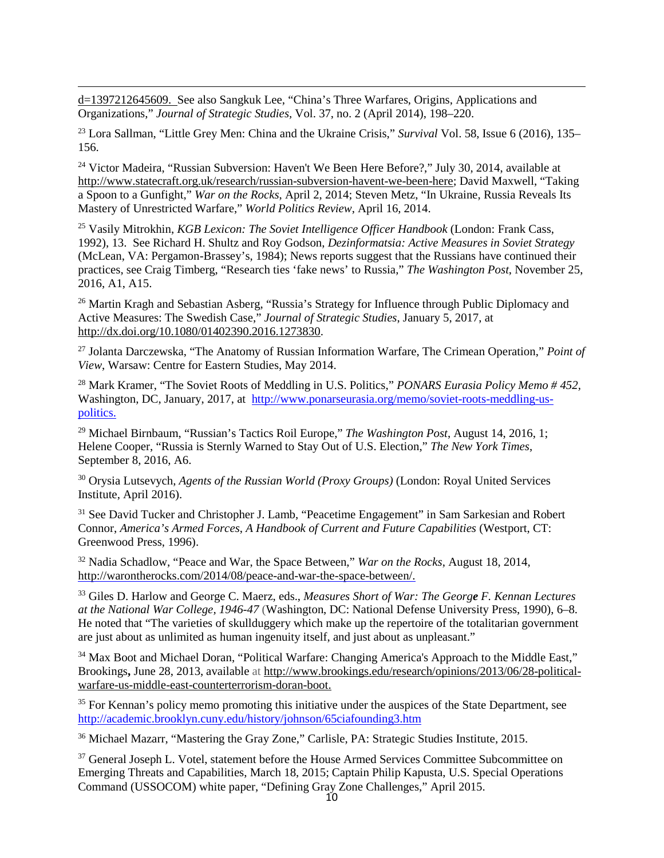[d=1397212645609.](http://images.smh.com.au/file/2014/04/11/5343124/China_%2520The%2520three%2520warfares.pdf?rand=1397212645609) See also Sangkuk Lee, "China's Three Warfares, Origins, Applications and Organizations," *Journal of Strategic Studies,* Vol. 37, no. 2 (April 2014), 198–220.

 $\overline{a}$ 

<sup>23</sup> Lora Sallman, "Little Grey Men: China and the Ukraine Crisis," *Survival* Vol. 58, Issue 6 (2016), 135– 156.

<sup>24</sup> Victor Madeira, "Russian Subversion: Haven't We Been Here Before?," July 30, 2014, available at [http://www.statecraft.org.uk/research/russian-subversion-havent-we-been-here;](http://www.statecraft.org.uk/research/russian-subversion-havent-we-been-here) David Maxwell, "Taking a Spoon to a Gunfight," *War on the Rocks*, April 2, 2014; Steven Metz, "In Ukraine, Russia Reveals Its Mastery of Unrestricted Warfare," *World Politics Review*, April 16, 2014.

<span id="page-9-0"></span><sup>25</sup> Vasily Mitrokhin, *KGB Lexicon: The Soviet Intelligence Officer Handbook* (London: Frank Cass, 1992), 13. See Richard H. Shultz and Roy Godson, *Dezinformatsia: Active Measures in Soviet Strategy* (McLean, VA: Pergamon-Brassey's, 1984); News reports suggest that the Russians have continued their practices, see Craig Timberg, "Research ties 'fake news' to Russia," *The Washington Post*, November 25, 2016, A1, A15.

<span id="page-9-2"></span><span id="page-9-1"></span><sup>26</sup> Martin Kragh and Sebastian Asberg, "Russia's Strategy for Influence through Public Diplomacy and Active Measures: The Swedish Case," *Journal of Strategic Studies*, January 5, 2017, at [http://dx.doi.org/10.1080/01402390.2016.1273830.](http://dx.doi.org/10.1080/01402390.2016.1273830)

<span id="page-9-3"></span><sup>27</sup> Jolanta Darczewska, "The Anatomy of Russian Information Warfare, The Crimean Operation," *Point of View*, Warsaw: Centre for Eastern Studies, May 2014.

<span id="page-9-4"></span><sup>28</sup> Mark Kramer, "The Soviet Roots of Meddling in U.S. Politics," *PONARS Eurasia Policy Memo # 452,* Washington, DC, January, 2017, at [http://www.ponarseurasia.org/memo/soviet-roots-meddling-us](http://www.ponarseurasia.org/memo/soviet-roots-meddling-us-politics)[politics.](http://www.ponarseurasia.org/memo/soviet-roots-meddling-us-politics)

<span id="page-9-6"></span><span id="page-9-5"></span><sup>29</sup> Michael Birnbaum, "Russian's Tactics Roil Europe," *The Washington Post*, August 14, 2016, 1; Helene Cooper, "Russia is Sternly Warned to Stay Out of U.S. Election," *The New York Times*, September 8, 2016, A6.

<span id="page-9-7"></span><sup>30</sup> Orysia Lutsevych, *Agents of the Russian World (Proxy Groups)* (London: Royal United Services Institute, April 2016).

<sup>31</sup> See David Tucker and Christopher J. Lamb, "Peacetime Engagement" in Sam Sarkesian and Robert Connor, *America's Armed Forces*, *A Handbook of Current and Future Capabilities* (Westport, CT: Greenwood Press, 1996).

<sup>32</sup> Nadia Schadlow, "Peace and War, the Space Between," *War on the Rocks*, August 18, 2014, [http://warontherocks.com/2014/08/peace-and-war-the-space-between/.](http://warontherocks.com/2014/08/peace-and-war-the-space-between/)

<sup>33</sup> Giles D. Harlow and George C. Maerz, eds., *Measures Short of War: The George F. Kennan Lectures at the National War College, 1946-47* (Washington, DC: National Defense University Press, 1990), 6–8. He noted that "The varieties of skullduggery which make up the repertoire of the totalitarian government are just about as unlimited as human ingenuity itself, and just about as unpleasant."

<sup>34</sup> Max Boot and Michael Doran, "Political Warfare: Changing America's Approach to the Middle East," Brookings**,** June 28, 2013, available at [http://www.brookings.edu/research/opinions/2013/06/28-political](http://www.brookings.edu/research/opinions/2013/06/28-political-warfare-us-middle-east-counterterrorism-doran-boot)[warfare-us-middle-east-counterterrorism-doran-boot.](http://www.brookings.edu/research/opinions/2013/06/28-political-warfare-us-middle-east-counterterrorism-doran-boot)

<sup>35</sup> For Kennan's policy memo promoting this initiative under the auspices of the State Department, see <http://academic.brooklyn.cuny.edu/history/johnson/65ciafounding3.htm>

<sup>36</sup> Michael Mazarr, "Mastering the Gray Zone," Carlisle, PA: Strategic Studies Institute, 2015.

<sup>37</sup> General Joseph L. Votel, statement before the House Armed Services Committee Subcommittee on Emerging Threats and Capabilities, March 18, 2015; Captain Philip Kapusta, U.S. Special Operations Command (USSOCOM) white paper, "Defining Gray Zone Challenges," April 2015.